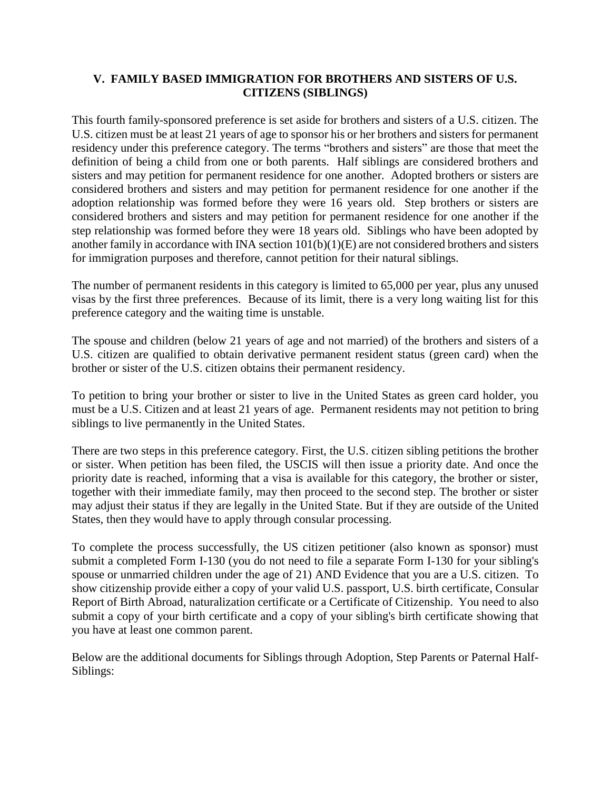## **V. FAMILY BASED IMMIGRATION FOR BROTHERS AND SISTERS OF U.S. CITIZENS (SIBLINGS)**

This fourth family-sponsored preference is set aside for brothers and sisters of a U.S. citizen. The U.S. citizen must be at least 21 years of age to sponsor his or her brothers and sisters for permanent residency under this preference category. The terms "brothers and sisters" are those that meet the definition of being a child from one or both parents. Half siblings are considered brothers and sisters and may petition for permanent residence for one another. Adopted brothers or sisters are considered brothers and sisters and may petition for permanent residence for one another if the adoption relationship was formed before they were 16 years old. Step brothers or sisters are considered brothers and sisters and may petition for permanent residence for one another if the step relationship was formed before they were 18 years old. Siblings who have been adopted by another family in accordance with INA section 101(b)(1)(E) are not considered brothers and sisters for immigration purposes and therefore, cannot petition for their natural siblings.

The number of permanent residents in this category is limited to 65,000 per year, plus any unused visas by the first three preferences. Because of its limit, there is a very long waiting list for this preference category and the waiting time is unstable.

The spouse and children (below 21 years of age and not married) of the brothers and sisters of a U.S. citizen are qualified to obtain derivative permanent resident status (green card) when the brother or sister of the U.S. citizen obtains their permanent residency.

To petition to bring your brother or sister to live in the United States as green card holder, you must be a U.S. Citizen and at least 21 years of age. Permanent residents may not petition to bring siblings to live permanently in the United States.

There are two steps in this preference category. First, the U.S. citizen sibling petitions the brother or sister. When petition has been filed, the USCIS will then issue a priority date. And once the priority date is reached, informing that a visa is available for this category, the brother or sister, together with their immediate family, may then proceed to the second step. The brother or sister may adjust their status if they are legally in the United State. But if they are outside of the United States, then they would have to apply through consular processing.

To complete the process successfully, the US citizen petitioner (also known as sponsor) must submit a completed Form I-130 (you do not need to file a separate Form I-130 for your sibling's spouse or unmarried children under the age of 21) AND Evidence that you are a U.S. citizen. To show citizenship provide either a copy of your valid U.S. passport, U.S. birth certificate, Consular Report of Birth Abroad, naturalization certificate or a Certificate of Citizenship. You need to also submit a copy of your birth certificate and a copy of your sibling's birth certificate showing that you have at least one common parent.

Below are the additional documents for Siblings through Adoption, Step Parents or Paternal Half-Siblings: